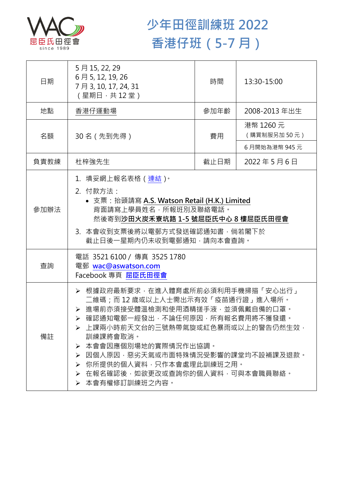

## **少年田徑訓練班 2022 香港仔班(5-7 月)**

| 日期   | 5月15, 22, 29<br>6月5, 12, 19, 26<br>7月3,10,17,24,31<br>(星期日,共12堂)                                                                                                                                                                                                                                                                                               | 時間   | 13:30-15:00              |  |
|------|----------------------------------------------------------------------------------------------------------------------------------------------------------------------------------------------------------------------------------------------------------------------------------------------------------------------------------------------------------------|------|--------------------------|--|
| 地點   | 香港仔運動場                                                                                                                                                                                                                                                                                                                                                         | 參加年齡 | 2008-2013 年出生            |  |
| 名額   | 30名 (先到先得)                                                                                                                                                                                                                                                                                                                                                     | 費用   | 港幣 1260 元<br>(購買制服另加50元) |  |
|      |                                                                                                                                                                                                                                                                                                                                                                |      | 6月開始為港幣 945元             |  |
| 負責教練 | 杜梓強先生                                                                                                                                                                                                                                                                                                                                                          | 截止日期 | 2022年5月6日                |  |
| 參加辦法 | 1.填妥網上報名表格(連結) <sup>。</sup><br>2. 付款方法:<br>• 支票: 抬頭請寫 A.S. Watson Retail (H.K.) Limited<br>背面請寫上學員姓名,所報班別及聯絡電話。<br>然後寄到沙田火炭禾寮坑路 1-5 號屈臣氏中心 8 樓屈臣氏田徑會<br>3. 本會收到支票後將以電郵方式發送確認通知書,倘若閣下於<br>截止日後一星期內仍未收到電郵通知,請向本會查詢。                                                                                                                                              |      |                          |  |
| 查詢   | 電話 35216100 / 傳真 3525 1780<br>電郵 wac@aswatson.com<br>Facebook 專頁 屈臣氏田徑會                                                                                                                                                                                                                                                                                        |      |                          |  |
| 備註   | ▶ 根據政府最新要求,在進入體育處所前必須利用手機掃描「安心出行」<br>二維碼;而 12 歳或以上人士需出示有效「疫苗通行證」進入場所。<br>▶ 進場前亦須接受體溫檢測和使用酒精搓手液·並須佩戴自備的口罩。<br>▶ 確認通知電郵一經發出,不論任何原因,所有報名費用將不獲發還。<br>➢ 上課兩小時前天文台的三號熱帶氣旋或紅色暴雨或以上的警告仍然生效•<br>訓練課將會取消。<br>本會會因應個別場地的實際情況作出協調。<br>➤<br>因個人原因,惡劣天氣或市面特殊情況受影響的課堂均不設補課及退款。<br>➤<br>你所提供的個人資料,只作本會處理此訓練班之用。<br>➤<br>在報名確認後,如欲更改或杳詢你的個人資料,可與本會職員聯絡。<br>➤<br>▶ 本會有權修訂訓練班之內容。 |      |                          |  |